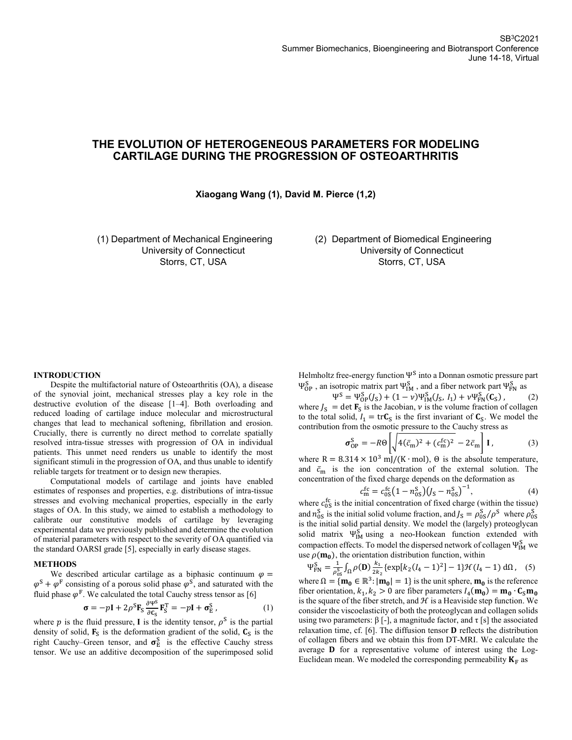# **THE EVOLUTION OF HETEROGENEOUS PARAMETERS FOR MODELING CARTILAGE DURING THE PROGRESSION OF OSTEOARTHRITIS**

## **Xiaogang Wang (1), David M. Pierce (1,2)**

(1) Department of Mechanical Engineering University of Connecticut Storrs, CT, USA

(2) Department of Biomedical Engineering University of Connecticut Storrs, CT, USA

### **INTRODUCTION**

Despite the multifactorial nature of Osteoarthritis (OA), a disease of the synovial joint, mechanical stresses play a key role in the destructive evolution of the disease [1–4]. Both overloading and reduced loading of cartilage induce molecular and microstructural changes that lead to mechanical softening, fibrillation and erosion. Crucially, there is currently no direct method to correlate spatially resolved intra-tissue stresses with progression of OA in individual patients. This unmet need renders us unable to identify the most significant stimuli in the progression of OA, and thus unable to identify reliable targets for treatment or to design new therapies.

Computational models of cartilage and joints have enabled estimates of responses and properties, e.g. distributions of intra-tissue stresses and evolving mechanical properties, especially in the early stages of OA. In this study, we aimed to establish a methodology to calibrate our constitutive models of cartilage by leveraging experimental data we previously published and determine the evolution of material parameters with respect to the severity of OA quantified via the standard OARSI grade [5], especially in early disease stages.

#### **METHODS**

We described articular cartilage as a biphasic continuum  $\varphi =$  $\varphi^S + \varphi^F$  consisting of a porous solid phase  $\varphi^S$ , and saturated with the fluid phase  $\varphi^F$ . We calculated the total Cauchy stress tensor as [6]

$$
\boldsymbol{\sigma} = -p\mathbf{I} + 2\rho^{\rm S}\mathbf{F}_{\rm S}\frac{\partial \mathbf{v}^{\rm S}}{\partial \mathbf{c}_{\rm S}}\mathbf{F}_{\rm S}^{\rm T} = -p\mathbf{I} + \boldsymbol{\sigma}_{\rm E}^{\rm S} \,,\tag{1}
$$

where p is the fluid pressure, I is the identity tensor,  $\rho^S$  is the partial density of solid,  $\mathbf{F}_{\mathbf{S}}$  is the deformation gradient of the solid,  $\mathbf{C}_{\mathbf{S}}$  is the right Cauchy–Green tensor, and  $\sigma_{\rm E}^{\rm S}$  is the effective Cauchy stress tensor. We use an additive decomposition of the superimposed solid

Helmholtz free-energy function  $\Psi^{\text{S}}$  into a Donnan osmotic pressure part  $\Psi_{\text{OP}}^{S}$ , an isotropic matrix part  $\Psi_{\text{IM}}^{S}$ , and a fiber network part  $\Psi_{\text{FN}}^{S}$  as

 $\Psi^{\rm S} = \Psi_{\rm OP}^{\rm S}(J_{\rm S}) + (1 - \nu) \Psi_{\rm IM}^{\rm S}(J_{\rm S}, I_1) + \nu \Psi_{\rm FN}^{\rm S}(\mathbf{C}_{\rm S})$  $(2)$ where  $J_s$  = det  $\mathbf{F}_s$  is the Jacobian,  $\nu$  is the volume fraction of collagen to the total solid,  $I_1 = \text{tr} C_S$  is the first invariant of  $C_S$ . We model the contribution from the osmotic pressure to the Cauchy stress as

$$
\sigma_{\rm OP}^{\rm S} = -R\Theta \left[ \sqrt{4(\bar{c}_{\rm m})^2 + (c_{\rm m}^{\rm fc})^2} - 2\bar{c}_{\rm m} \right] \mathbf{I},\tag{3}
$$

where R =  $8.314 \times 10^3$  mJ/(K ⋅ mol),  $\Theta$  is the absolute temperature, and  $\bar{c}_{\text{m}}$  is the ion concentration of the external solution. The concentration of the fixed charge depends on the deformation as

$$
c_{\rm m}^{\rm fc} = c_{\rm 0S}^{\rm fc} (1 - n_{\rm 0S}^{\rm S}) (J_{\rm S} - n_{\rm 0S}^{\rm S})^{-1},\tag{4}
$$

where  $c_{0S}^{\text{fc}}$  is the initial concentration of fixed charge (within the tissue) and  $n_{0S}^S$  is the initial solid volume fraction, and  $J_S = \rho_{0S}^S / \rho^S$  where  $\rho_{0S}^S$ is the initial solid partial density. We model the (largely) proteoglycan solid matrix  $\Psi_{IM}^S$  using a neo-Hookean function extended with compaction effects. To model the dispersed network of collagen  $\Psi_{\text{IM}}^{\text{S}}$  we use  $\rho(\mathbf{m_0})$ , the orientation distribution function, within

 $\Psi_{\text{FN}}^{\text{S}} = \frac{1}{\rho^{\text{S}}}$  $\frac{1}{\rho_{0S}^{S}}\int_{\Omega}\rho(\mathbf{D})\frac{k_{1}}{2k_{2}}$  $\int_{\Omega} \rho(\mathbf{D}) \frac{k_1}{2k_2} \{ \exp[k_2(I_4-1)^2] - 1 \} \mathcal{H}(I_4-1) \, d\Omega$ , (5) where  $\Omega = {\mathbf{m_0} \in \mathbb{R}^3 : |\mathbf{m_0}| = 1}$  is the unit sphere,  $\mathbf{m_0}$  is the reference fiber orientation,  $k_1, k_2 > 0$  are fiber parameters  $I_4(\mathbf{m_0}) = \mathbf{m_0} \cdot \mathbf{C}_S \mathbf{m_0}$ is the square of the fiber stretch, and  $H$  is a Heaviside step function. We consider the viscoelasticity of both the proteoglycan and collagen solids using two parameters:  $\beta$  [-], a magnitude factor, and τ [s] the associated relaxation time, cf.  $[6]$ . The diffusion tensor **D** reflects the distribution of collagen fibers and we obtain this from DT-MRI. We calculate the average  $\bf{D}$  for a representative volume of interest using the Log-Euclidean mean. We modeled the corresponding permeability  $K_F$  as